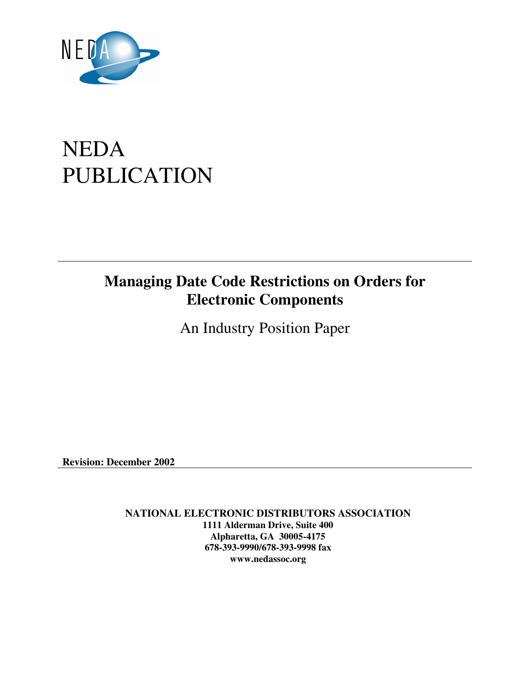

# NEDA PUBLICATION

# **Managing Date Code Restrictions on Orders for Electronic Components**

An Industry Position Paper

**Revision: December 2002** 

**NATIONAL ELECTRONIC DISTRIBUTORS ASSOCIATION 1111 Alderman Drive, Suite 400 Alpharetta, GA 30005-4175 678-393-9990/678-393-9998 fax www.nedassoc.org**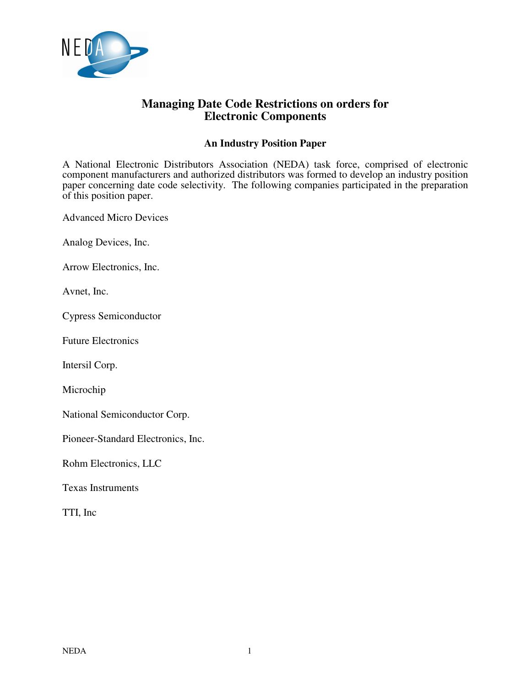

### **Managing Date Code Restrictions on orders for Electronic Components**

#### **An Industry Position Paper**

A National Electronic Distributors Association (NEDA) task force, comprised of electronic component manufacturers and authorized distributors was formed to develop an industry position paper concerning date code selectivity. The following companies participated in the preparation of this position paper.

Advanced Micro Devices

Analog Devices, Inc.

Arrow Electronics, Inc.

Avnet, Inc.

Cypress Semiconductor

Future Electronics

Intersil Corp.

Microchip

National Semiconductor Corp.

Pioneer-Standard Electronics, Inc.

Rohm Electronics, LLC

Texas Instruments

TTI, Inc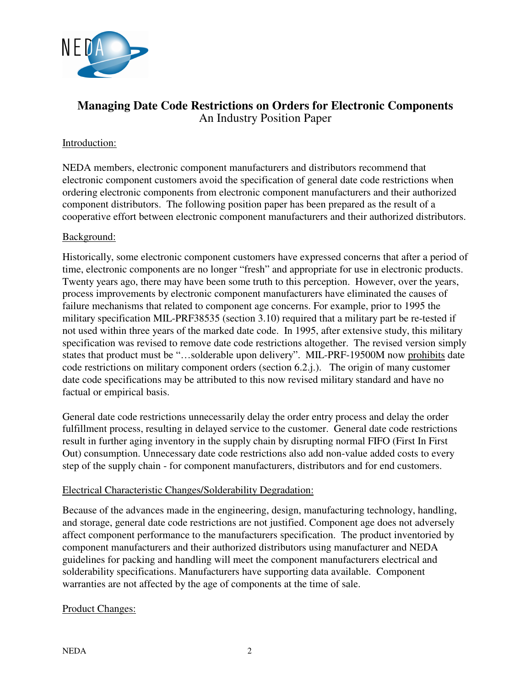

## **Managing Date Code Restrictions on Orders for Electronic Components**  An Industry Position Paper

#### Introduction:

NEDA members, electronic component manufacturers and distributors recommend that electronic component customers avoid the specification of general date code restrictions when ordering electronic components from electronic component manufacturers and their authorized component distributors. The following position paper has been prepared as the result of a cooperative effort between electronic component manufacturers and their authorized distributors.

#### Background:

Historically, some electronic component customers have expressed concerns that after a period of time, electronic components are no longer "fresh" and appropriate for use in electronic products. Twenty years ago, there may have been some truth to this perception. However, over the years, process improvements by electronic component manufacturers have eliminated the causes of failure mechanisms that related to component age concerns. For example, prior to 1995 the military specification MIL-PRF38535 (section 3.10) required that a military part be re-tested if not used within three years of the marked date code. In 1995, after extensive study, this military specification was revised to remove date code restrictions altogether. The revised version simply states that product must be "…solderable upon delivery". MIL-PRF-19500M now prohibits date code restrictions on military component orders (section 6.2.j.). The origin of many customer date code specifications may be attributed to this now revised military standard and have no factual or empirical basis.

General date code restrictions unnecessarily delay the order entry process and delay the order fulfillment process, resulting in delayed service to the customer. General date code restrictions result in further aging inventory in the supply chain by disrupting normal FIFO (First In First Out) consumption. Unnecessary date code restrictions also add non-value added costs to every step of the supply chain - for component manufacturers, distributors and for end customers.

#### Electrical Characteristic Changes/Solderability Degradation:

Because of the advances made in the engineering, design, manufacturing technology, handling, and storage, general date code restrictions are not justified. Component age does not adversely affect component performance to the manufacturers specification. The product inventoried by component manufacturers and their authorized distributors using manufacturer and NEDA guidelines for packing and handling will meet the component manufacturers electrical and solderability specifications. Manufacturers have supporting data available. Component warranties are not affected by the age of components at the time of sale.

#### Product Changes: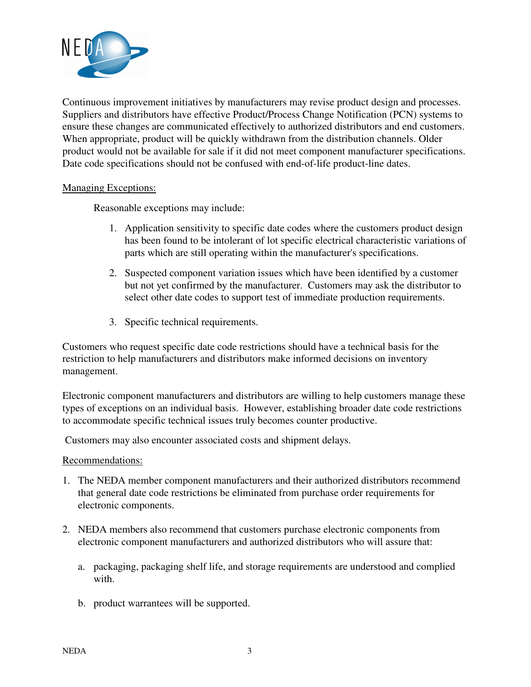

Continuous improvement initiatives by manufacturers may revise product design and processes. Suppliers and distributors have effective Product/Process Change Notification (PCN) systems to ensure these changes are communicated effectively to authorized distributors and end customers. When appropriate, product will be quickly withdrawn from the distribution channels. Older product would not be available for sale if it did not meet component manufacturer specifications. Date code specifications should not be confused with end-of-life product-line dates.

#### Managing Exceptions:

Reasonable exceptions may include:

- 1. Application sensitivity to specific date codes where the customers product design has been found to be intolerant of lot specific electrical characteristic variations of parts which are still operating within the manufacturer's specifications.
- 2. Suspected component variation issues which have been identified by a customer but not yet confirmed by the manufacturer. Customers may ask the distributor to select other date codes to support test of immediate production requirements.
- 3. Specific technical requirements.

Customers who request specific date code restrictions should have a technical basis for the restriction to help manufacturers and distributors make informed decisions on inventory management.

Electronic component manufacturers and distributors are willing to help customers manage these types of exceptions on an individual basis. However, establishing broader date code restrictions to accommodate specific technical issues truly becomes counter productive.

Customers may also encounter associated costs and shipment delays.

Recommendations:

- 1. The NEDA member component manufacturers and their authorized distributors recommend that general date code restrictions be eliminated from purchase order requirements for electronic components.
- 2. NEDA members also recommend that customers purchase electronic components from electronic component manufacturers and authorized distributors who will assure that:
	- a. packaging, packaging shelf life, and storage requirements are understood and complied with.
	- b. product warrantees will be supported.